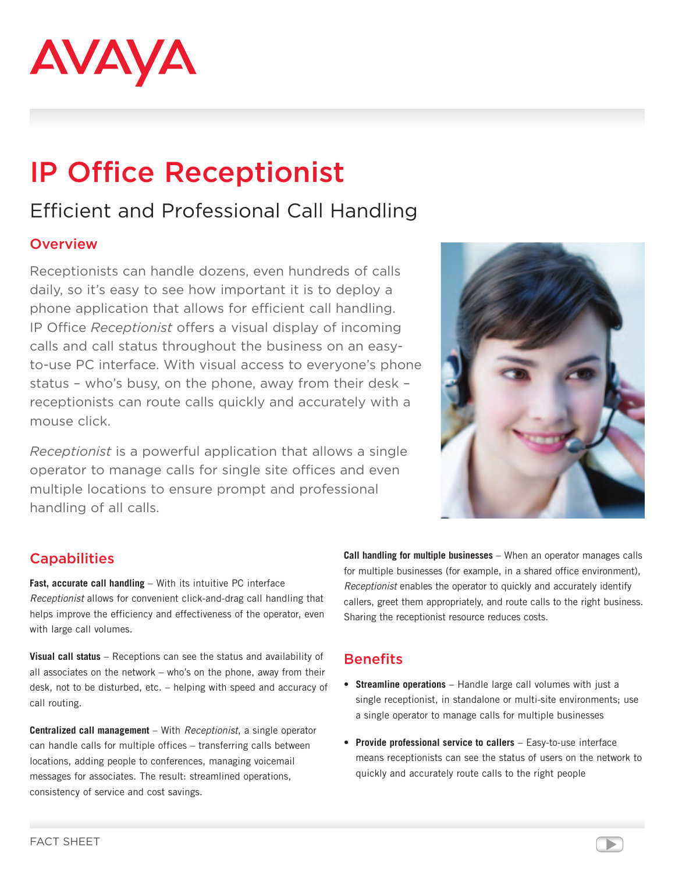

# IP Office Receptionist

## Efficient and Professional Call Handling

#### **Overview**

Receptionists can handle dozens, even hundreds of calls daily, so it's easy to see how important it is to deploy a phone application that allows for efficient call handling. IP Office *Receptionist* offers a visual display of incoming calls and call status throughout the business on an easyto-use PC interface. With visual access to everyone's phone status – who's busy, on the phone, away from their desk – receptionists can route calls quickly and accurately with a mouse click.

*Receptionist* is a powerful application that allows a single operator to manage calls for single site offices and even multiple locations to ensure prompt and professional handling of all calls.



### **Capabilities**

**Fast, accurate call handling** – With its intuitive PC interface *Receptionist* allows for convenient click-and-drag call handling that helps improve the efficiency and effectiveness of the operator, even with large call volumes.

**Visual call status** – Receptions can see the status and availability of all associates on the network – who's on the phone, away from their desk, not to be disturbed, etc. – helping with speed and accuracy of call routing.

**Centralized call management** – With *Receptionist*, a single operator can handle calls for multiple offices – transferring calls between locations, adding people to conferences, managing voicemail messages for associates. The result: streamlined operations, consistency of service and cost savings.

**Call handling for multiple businesses** – When an operator manages calls for multiple businesses (for example, in a shared office environment), *Receptionist* enables the operator to quickly and accurately identify callers, greet them appropriately, and route calls to the right business. Sharing the receptionist resource reduces costs.

### **Benefits**

- • **Streamline operations** Handle large call volumes with just a single receptionist, in standalone or multi-site environments; use a single operator to manage calls for multiple businesses
- • **Provide professional service to callers** Easy-to-use interface means receptionists can see the status of users on the network to quickly and accurately route calls to the right people